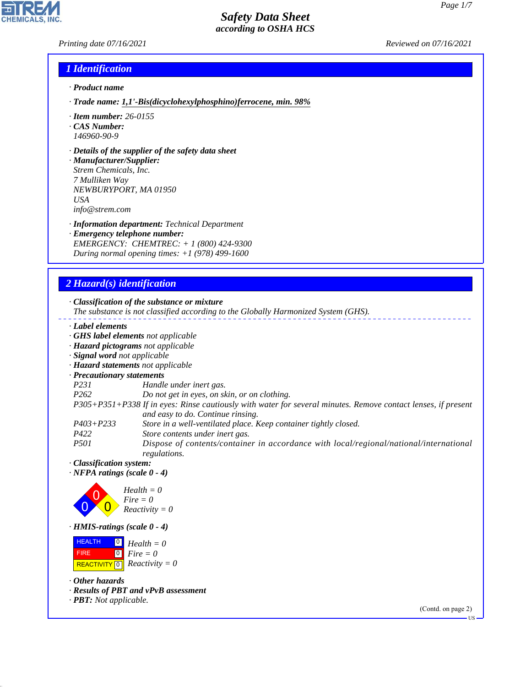*Printing date 07/16/2021 Reviewed on 07/16/2021*

**CHEMICALS.** 

## *1 Identification*

- *· Product name*
- *· Trade name: 1,1'-Bis(dicyclohexylphosphino)ferrocene, min. 98%*
- *· Item number: 26-0155*
- *· CAS Number: 146960-90-9*
- *· Details of the supplier of the safety data sheet*

*· Manufacturer/Supplier: Strem Chemicals, Inc. 7 Mulliken Way NEWBURYPORT, MA 01950 USA info@strem.com*

- *· Information department: Technical Department*
- *· Emergency telephone number: EMERGENCY: CHEMTREC: + 1 (800) 424-9300 During normal opening times: +1 (978) 499-1600*

## *2 Hazard(s) identification*

*· Classification of the substance or mixture*

- *The substance is not classified according to the Globally Harmonized System (GHS).*
- *· Label elements*
- *· GHS label elements not applicable*
- *· Hazard pictograms not applicable*
- *· Signal word not applicable*
- *· Hazard statements not applicable*
- *· Precautionary statements*
- *P231 Handle under inert gas.*
- *P262 Do not get in eyes, on skin, or on clothing.*
- *P305+P351+P338 If in eyes: Rinse cautiously with water for several minutes. Remove contact lenses, if present and easy to do. Continue rinsing.*
- *P403+P233 Store in a well-ventilated place. Keep container tightly closed.*
- *P422 Store contents under inert gas.*
- *P501 Dispose of contents/container in accordance with local/regional/national/international regulations.*
- *· Classification system:*
- *· NFPA ratings (scale 0 4)*



*· HMIS-ratings (scale 0 - 4)*



*· Other hazards*

44.1.1

- *· Results of PBT and vPvB assessment*
- *· PBT: Not applicable.*

(Contd. on page 2)

US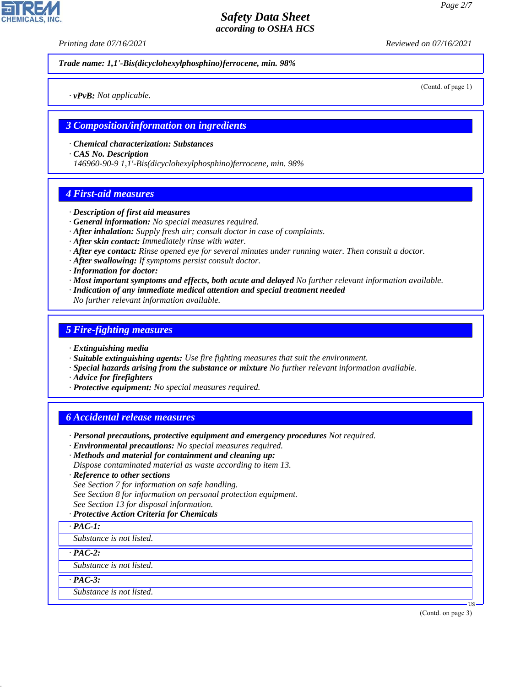*Printing date 07/16/2021 Reviewed on 07/16/2021*

*Trade name: 1,1'-Bis(dicyclohexylphosphino)ferrocene, min. 98%*

*· vPvB: Not applicable.*

*3 Composition/information on ingredients*

*· Chemical characterization: Substances*

*· CAS No. Description*

*146960-90-9 1,1'-Bis(dicyclohexylphosphino)ferrocene, min. 98%*

## *4 First-aid measures*

- *· Description of first aid measures*
- *· General information: No special measures required.*
- *· After inhalation: Supply fresh air; consult doctor in case of complaints.*
- *· After skin contact: Immediately rinse with water.*
- *· After eye contact: Rinse opened eye for several minutes under running water. Then consult a doctor.*
- *· After swallowing: If symptoms persist consult doctor.*
- *· Information for doctor:*
- *· Most important symptoms and effects, both acute and delayed No further relevant information available.*
- *· Indication of any immediate medical attention and special treatment needed*
- *No further relevant information available.*

## *5 Fire-fighting measures*

- *· Extinguishing media*
- *· Suitable extinguishing agents: Use fire fighting measures that suit the environment.*
- *· Special hazards arising from the substance or mixture No further relevant information available.*
- *· Advice for firefighters*
- *· Protective equipment: No special measures required.*

## *6 Accidental release measures*

- *· Personal precautions, protective equipment and emergency procedures Not required.*
- *· Environmental precautions: No special measures required.*
- *· Methods and material for containment and cleaning up:*
- *Dispose contaminated material as waste according to item 13.*
- *· Reference to other sections*
- *See Section 7 for information on safe handling.*
- *See Section 8 for information on personal protection equipment.*
- *See Section 13 for disposal information.*
- *· Protective Action Criteria for Chemicals*
- *· PAC-1:*
- *Substance is not listed.*

*· PAC-2:*

*Substance is not listed.*

*· PAC-3:*

44.1.1

*Substance is not listed.*

(Contd. on page 3)

US



(Contd. of page 1)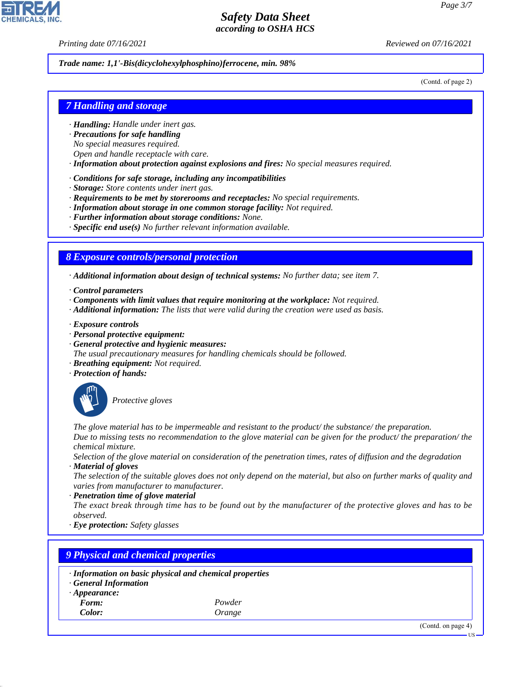*Printing date 07/16/2021 Reviewed on 07/16/2021*

### *Trade name: 1,1'-Bis(dicyclohexylphosphino)ferrocene, min. 98%*

(Contd. of page 2)

## *7 Handling and storage*

- *· Handling: Handle under inert gas.*
- *· Precautions for safe handling*
- *No special measures required.*
- *Open and handle receptacle with care.*
- *· Information about protection against explosions and fires: No special measures required.*
- *· Conditions for safe storage, including any incompatibilities*
- *· Storage: Store contents under inert gas.*
- *· Requirements to be met by storerooms and receptacles: No special requirements.*
- *· Information about storage in one common storage facility: Not required.*
- *· Further information about storage conditions: None.*
- *· Specific end use(s) No further relevant information available.*

## *8 Exposure controls/personal protection*

*· Additional information about design of technical systems: No further data; see item 7.*

- *· Control parameters*
- *· Components with limit values that require monitoring at the workplace: Not required.*
- *· Additional information: The lists that were valid during the creation were used as basis.*
- *· Exposure controls*
- *· Personal protective equipment:*
- *· General protective and hygienic measures:*
- *The usual precautionary measures for handling chemicals should be followed.*
- *· Breathing equipment: Not required.*
- *· Protection of hands:*



44.1.1

\_S*Protective gloves*

*The glove material has to be impermeable and resistant to the product/ the substance/ the preparation. Due to missing tests no recommendation to the glove material can be given for the product/ the preparation/ the chemical mixture.*

*Selection of the glove material on consideration of the penetration times, rates of diffusion and the degradation · Material of gloves*

*The selection of the suitable gloves does not only depend on the material, but also on further marks of quality and varies from manufacturer to manufacturer.*

*· Penetration time of glove material*

*The exact break through time has to be found out by the manufacturer of the protective gloves and has to be observed.*

*· Eye protection: Safety glasses*

| 9 Physical and chemical properties                                                                      |        |  |  |  |
|---------------------------------------------------------------------------------------------------------|--------|--|--|--|
| · Information on basic physical and chemical properties<br>· General Information<br>$\cdot$ Appearance: |        |  |  |  |
| Form:                                                                                                   | Powder |  |  |  |
| Color:                                                                                                  | Orange |  |  |  |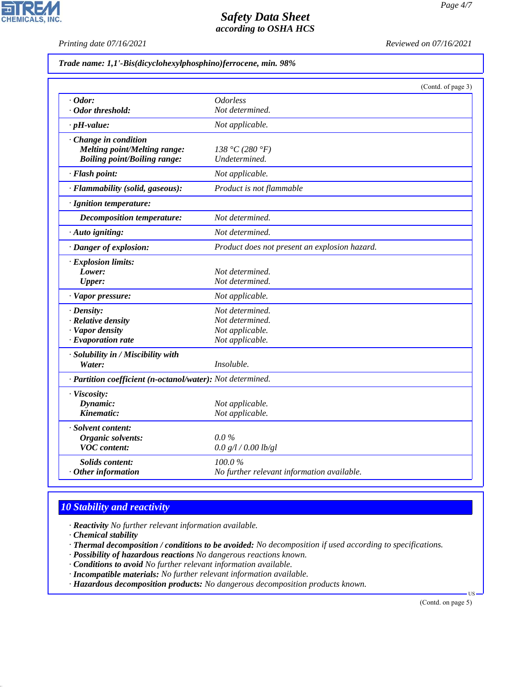**CHEMICALS, INC.** 

*Printing date 07/16/2021 Reviewed on 07/16/2021*

|  |  |  |  |  | Trade name: 1,1'-Bis(dicyclohexylphosphino)ferrocene, min. 98% |
|--|--|--|--|--|----------------------------------------------------------------|
|--|--|--|--|--|----------------------------------------------------------------|

|                                                            |                                               | (Contd. of page 3) |
|------------------------------------------------------------|-----------------------------------------------|--------------------|
| $\cdot$ Odor:                                              | <i><b>Odorless</b></i>                        |                    |
| · Odor threshold:                                          | Not determined.                               |                    |
| $\cdot$ pH-value:                                          | Not applicable.                               |                    |
| $\cdot$ Change in condition                                |                                               |                    |
| <b>Melting point/Melting range:</b>                        | 138 °C (280 °F)                               |                    |
| <b>Boiling point/Boiling range:</b>                        | Undetermined.                                 |                    |
| · Flash point:                                             | Not applicable.                               |                    |
| · Flammability (solid, gaseous):                           | Product is not flammable                      |                    |
| · Ignition temperature:                                    |                                               |                    |
| <b>Decomposition temperature:</b>                          | Not determined.                               |                    |
| · Auto igniting:                                           | Not determined.                               |                    |
| · Danger of explosion:                                     | Product does not present an explosion hazard. |                    |
| $\cdot$ Explosion limits:                                  |                                               |                    |
| Lower:                                                     | Not determined.                               |                    |
| <b>Upper:</b>                                              | Not determined.                               |                    |
| · Vapor pressure:                                          | Not applicable.                               |                    |
| $\cdot$ Density:                                           | Not determined.                               |                    |
| · Relative density                                         | Not determined.                               |                    |
| · Vapor density                                            | Not applicable.                               |                    |
| $\cdot$ Evaporation rate                                   | Not applicable.                               |                    |
| · Solubility in / Miscibility with                         |                                               |                    |
| Water:                                                     | Insoluble.                                    |                    |
| · Partition coefficient (n-octanol/water): Not determined. |                                               |                    |
| · Viscosity:                                               |                                               |                    |
| Dynamic:                                                   | Not applicable.                               |                    |
| Kinematic:                                                 | Not applicable.                               |                    |
| · Solvent content:                                         |                                               |                    |
| Organic solvents:                                          | $0.0\%$                                       |                    |
| <b>VOC</b> content:                                        | 0.0 g/l / 0.00 lb/gl                          |                    |
| <b>Solids content:</b>                                     | 100.0%                                        |                    |
| $·$ Other information                                      | No further relevant information available.    |                    |

# *10 Stability and reactivity*

- *· Reactivity No further relevant information available.*
- *· Chemical stability*

44.1.1

- *· Thermal decomposition / conditions to be avoided: No decomposition if used according to specifications.*
- *· Possibility of hazardous reactions No dangerous reactions known.*
- *· Conditions to avoid No further relevant information available.*
- *· Incompatible materials: No further relevant information available.*
- *· Hazardous decomposition products: No dangerous decomposition products known.*

(Contd. on page 5)

US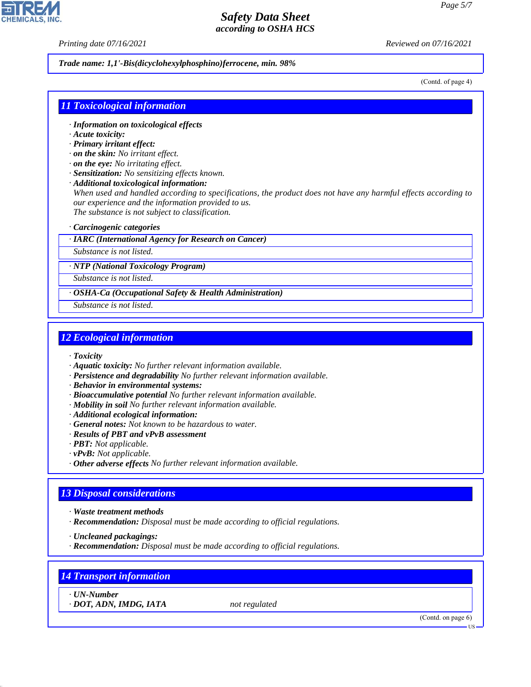*Printing date 07/16/2021 Reviewed on 07/16/2021*

### *Trade name: 1,1'-Bis(dicyclohexylphosphino)ferrocene, min. 98%*

(Contd. of page 4)

## *11 Toxicological information*

- *· Information on toxicological effects*
- *· Acute toxicity:*
- *· Primary irritant effect:*
- *· on the skin: No irritant effect.*
- *· on the eye: No irritating effect.*
- *· Sensitization: No sensitizing effects known.*
- *· Additional toxicological information:*

*When used and handled according to specifications, the product does not have any harmful effects according to our experience and the information provided to us. The substance is not subject to classification.*

*· Carcinogenic categories*

#### *· IARC (International Agency for Research on Cancer)*

*Substance is not listed.*

*· NTP (National Toxicology Program)*

*Substance is not listed.*

*· OSHA-Ca (Occupational Safety & Health Administration)*

*Substance is not listed.*

## *12 Ecological information*

- *· Toxicity*
- *· Aquatic toxicity: No further relevant information available.*
- *· Persistence and degradability No further relevant information available.*
- *· Behavior in environmental systems:*
- *· Bioaccumulative potential No further relevant information available.*
- *· Mobility in soil No further relevant information available.*
- *· Additional ecological information:*
- *· General notes: Not known to be hazardous to water.*
- *· Results of PBT and vPvB assessment*
- *· PBT: Not applicable.*
- *· vPvB: Not applicable.*
- *· Other adverse effects No further relevant information available.*
- *· Recommendation: Disposal must be made according to official regulations.*
- *· Recommendation: Disposal must be made according to official regulations.*

# *14 Transport information*

*· UN-Number*

44.1.1

*· DOT, ADN, IMDG, IATA not regulated*

(Contd. on page 6)

US



*<sup>13</sup> Disposal considerations · Waste treatment methods · Uncleaned packagings:*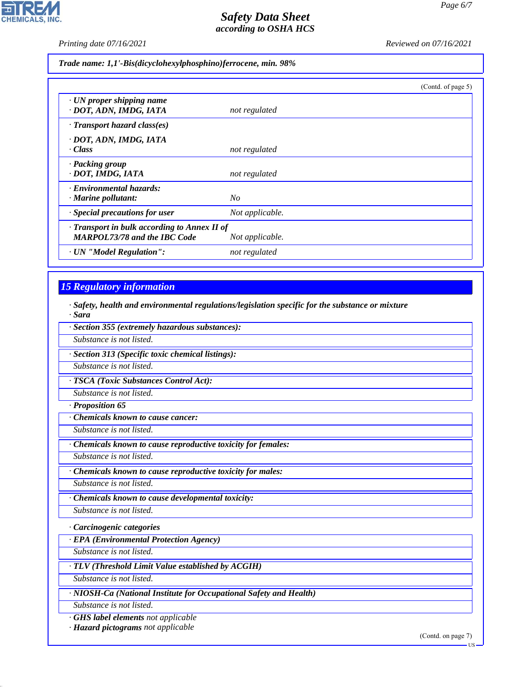$\mathbf{r}$ 

**CHEMICALS, INC.** 

*Printing date 07/16/2021 Reviewed on 07/16/2021*

*Trade name: 1,1'-Bis(dicyclohexylphosphino)ferrocene, min. 98%*

|                                                                                           |                 | (Contd. of page 5) |
|-------------------------------------------------------------------------------------------|-----------------|--------------------|
| $\cdot$ UN proper shipping name<br>· DOT, ADN, IMDG, IATA                                 | not regulated   |                    |
| · Transport hazard class(es)                                                              |                 |                    |
| · DOT, ADN, IMDG, IATA<br>· Class                                                         | not regulated   |                    |
| · Packing group<br>· DOT, IMDG, IATA                                                      | not regulated   |                    |
| · Environmental hazards:<br>$\cdot$ Marine pollutant:                                     | No              |                    |
| · Special precautions for user                                                            | Not applicable. |                    |
| $\cdot$ Transport in bulk according to Annex II of<br><b>MARPOL73/78 and the IBC Code</b> | Not applicable. |                    |
| · UN "Model Regulation":                                                                  | not regulated   |                    |

# *15 Regulatory information*

*· Safety, health and environmental regulations/legislation specific for the substance or mixture · Sara*

| · Section 355 (extremely hazardous substances):             |
|-------------------------------------------------------------|
| Substance is not listed.                                    |
| · Section 313 (Specific toxic chemical listings):           |
| Substance is not listed.                                    |
| · TSCA (Toxic Substances Control Act):                      |
| Substance is not listed.                                    |
| · Proposition 65                                            |
| Chemicals known to cause cancer:                            |
| Substance is not listed.                                    |
| Chemicals known to cause reproductive toxicity for females: |
| Substance is not listed.                                    |
| Chemicals known to cause reproductive toxicity for males:   |
| Substance is not listed.                                    |
| Chemicals known to cause developmental toxicity:            |
| Substance is not listed.                                    |
| · Carcinogenic categories                                   |
| · EPA (Environmental Protection Agency)                     |
| Substance is not listed.                                    |
| · TLV (Threshold Limit Value established by ACGIH)          |
| Substance is not listed.                                    |

*· NIOSH-Ca (National Institute for Occupational Safety and Health)*

*Substance is not listed.*

44.1.1

*· GHS label elements not applicable*

*· Hazard pictograms not applicable*

(Contd. on page 7)

 $-11S$